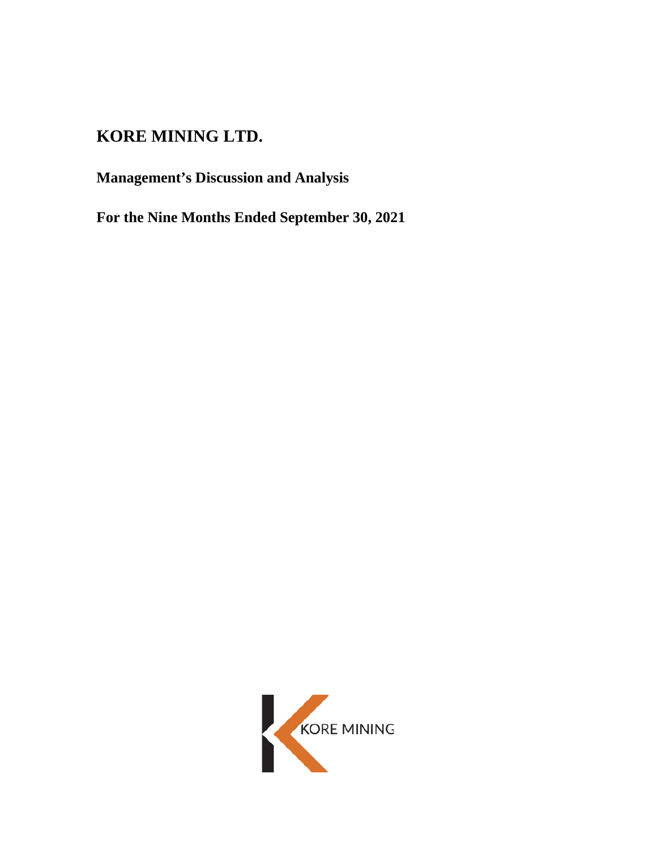# **KORE MINING LTD.**

**Management's Discussion and Analysis** 

**For the Nine Months Ended September 30, 2021** 

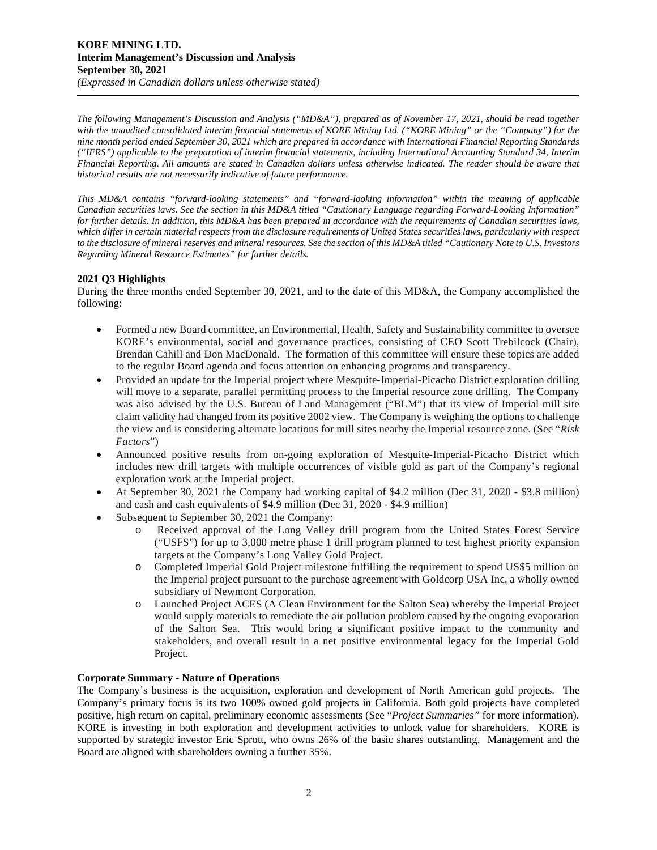*The following Management's Discussion and Analysis ("MD&A"), prepared as of November 17, 2021, should be read together*  with the unaudited consolidated interim financial statements of KORE Mining Ltd. ("KORE Mining" or the "Company") for the *nine month period ended September 30, 2021 which are prepared in accordance with International Financial Reporting Standards ("IFRS") applicable to the preparation of interim financial statements, including International Accounting Standard 34, Interim Financial Reporting. All amounts are stated in Canadian dollars unless otherwise indicated. The reader should be aware that historical results are not necessarily indicative of future performance.* 

*This MD&A contains "forward-looking statements" and "forward-looking information" within the meaning of applicable Canadian securities laws. See the section in this MD&A titled "Cautionary Language regarding Forward-Looking Information" for further details. In addition, this MD&A has been prepared in accordance with the requirements of Canadian securities laws, which differ in certain material respects from the disclosure requirements of United States securities laws, particularly with respect to the disclosure of mineral reserves and mineral resources. See the section of this MD&A titled "Cautionary Note to U.S. Investors Regarding Mineral Resource Estimates" for further details.* 

# **2021 Q3 Highlights**

During the three months ended September 30, 2021, and to the date of this MD&A, the Company accomplished the following:

- Formed a new Board committee, an Environmental, Health, Safety and Sustainability committee to oversee KORE's environmental, social and governance practices, consisting of CEO Scott Trebilcock (Chair), Brendan Cahill and Don MacDonald. The formation of this committee will ensure these topics are added to the regular Board agenda and focus attention on enhancing programs and transparency.
- Provided an update for the Imperial project where Mesquite-Imperial-Picacho District exploration drilling will move to a separate, parallel permitting process to the Imperial resource zone drilling. The Company was also advised by the U.S. Bureau of Land Management ("BLM") that its view of Imperial mill site claim validity had changed from its positive 2002 view. The Company is weighing the options to challenge the view and is considering alternate locations for mill sites nearby the Imperial resource zone. (See "*Risk Factors*")
- Announced positive results from on-going exploration of Mesquite-Imperial-Picacho District which includes new drill targets with multiple occurrences of visible gold as part of the Company's regional exploration work at the Imperial project.
- At September 30, 2021 the Company had working capital of \$4.2 million (Dec 31, 2020 \$3.8 million) and cash and cash equivalents of \$4.9 million (Dec 31, 2020 - \$4.9 million)
- Subsequent to September 30, 2021 the Company:
	- o Received approval of the Long Valley drill program from the United States Forest Service ("USFS") for up to 3,000 metre phase 1 drill program planned to test highest priority expansion targets at the Company's Long Valley Gold Project.
	- o Completed Imperial Gold Project milestone fulfilling the requirement to spend US\$5 million on the Imperial project pursuant to the purchase agreement with Goldcorp USA Inc, a wholly owned subsidiary of Newmont Corporation.
	- o Launched Project ACES (A Clean Environment for the Salton Sea) whereby the Imperial Project would supply materials to remediate the air pollution problem caused by the ongoing evaporation of the Salton Sea. This would bring a significant positive impact to the community and stakeholders, and overall result in a net positive environmental legacy for the Imperial Gold Project.

# **Corporate Summary - Nature of Operations**

The Company's business is the acquisition, exploration and development of North American gold projects. The Company's primary focus is its two 100% owned gold projects in California. Both gold projects have completed positive, high return on capital, preliminary economic assessments (See "*Project Summaries"* for more information). KORE is investing in both exploration and development activities to unlock value for shareholders. KORE is supported by strategic investor Eric Sprott, who owns 26% of the basic shares outstanding. Management and the Board are aligned with shareholders owning a further 35%.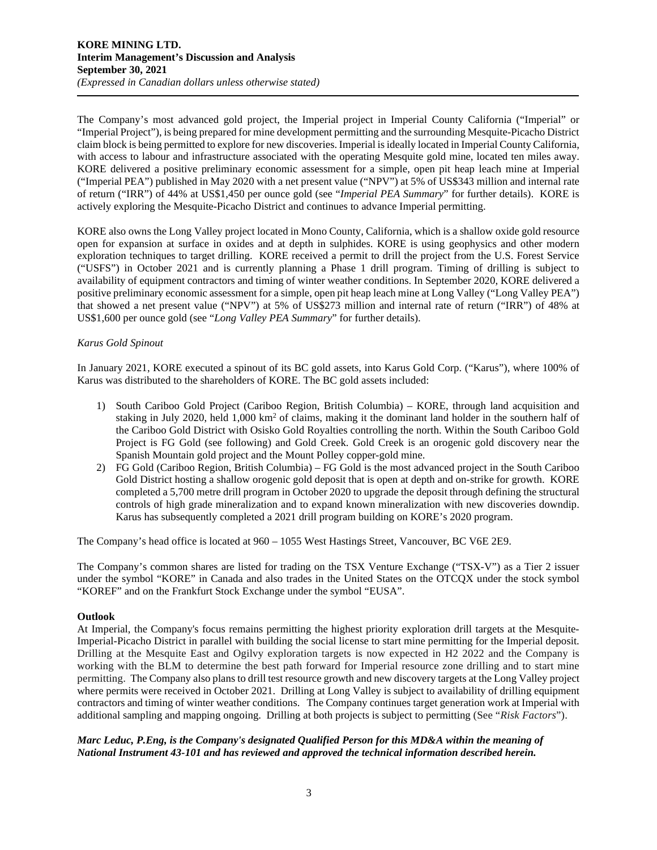The Company's most advanced gold project, the Imperial project in Imperial County California ("Imperial" or "Imperial Project"), is being prepared for mine development permitting and the surrounding Mesquite-Picacho District claim block is being permitted to explore for new discoveries. Imperial is ideally located in Imperial County California, with access to labour and infrastructure associated with the operating Mesquite gold mine, located ten miles away. KORE delivered a positive preliminary economic assessment for a simple, open pit heap leach mine at Imperial ("Imperial PEA") published in May 2020 with a net present value ("NPV") at 5% of US\$343 million and internal rate of return ("IRR") of 44% at US\$1,450 per ounce gold (see "*Imperial PEA Summary*" for further details). KORE is actively exploring the Mesquite-Picacho District and continues to advance Imperial permitting.

KORE also owns the Long Valley project located in Mono County, California, which is a shallow oxide gold resource open for expansion at surface in oxides and at depth in sulphides. KORE is using geophysics and other modern exploration techniques to target drilling. KORE received a permit to drill the project from the U.S. Forest Service ("USFS") in October 2021 and is currently planning a Phase 1 drill program. Timing of drilling is subject to availability of equipment contractors and timing of winter weather conditions. In September 2020, KORE delivered a positive preliminary economic assessment for a simple, open pit heap leach mine at Long Valley ("Long Valley PEA") that showed a net present value ("NPV") at 5% of US\$273 million and internal rate of return ("IRR") of 48% at US\$1,600 per ounce gold (see "*Long Valley PEA Summary*" for further details).

# *Karus Gold Spinout*

In January 2021, KORE executed a spinout of its BC gold assets, into Karus Gold Corp. ("Karus"), where 100% of Karus was distributed to the shareholders of KORE. The BC gold assets included:

- 1) South Cariboo Gold Project (Cariboo Region, British Columbia) KORE, through land acquisition and staking in July 2020, held 1,000 km<sup>2</sup> of claims, making it the dominant land holder in the southern half of the Cariboo Gold District with Osisko Gold Royalties controlling the north. Within the South Cariboo Gold Project is FG Gold (see following) and Gold Creek. Gold Creek is an orogenic gold discovery near the Spanish Mountain gold project and the Mount Polley copper-gold mine.
- 2) FG Gold (Cariboo Region, British Columbia) FG Gold is the most advanced project in the South Cariboo Gold District hosting a shallow orogenic gold deposit that is open at depth and on-strike for growth. KORE completed a 5,700 metre drill program in October 2020 to upgrade the deposit through defining the structural controls of high grade mineralization and to expand known mineralization with new discoveries downdip. Karus has subsequently completed a 2021 drill program building on KORE's 2020 program.

The Company's head office is located at 960 – 1055 West Hastings Street, Vancouver, BC V6E 2E9.

The Company's common shares are listed for trading on the TSX Venture Exchange ("TSX-V") as a Tier 2 issuer under the symbol "KORE" in Canada and also trades in the United States on the OTCQX under the stock symbol "KOREF" and on the Frankfurt Stock Exchange under the symbol "EUSA".

# **Outlook**

At Imperial, the Company's focus remains permitting the highest priority exploration drill targets at the Mesquite-Imperial-Picacho District in parallel with building the social license to start mine permitting for the Imperial deposit. Drilling at the Mesquite East and Ogilvy exploration targets is now expected in H2 2022 and the Company is working with the BLM to determine the best path forward for Imperial resource zone drilling and to start mine permitting. The Company also plans to drill test resource growth and new discovery targets at the Long Valley project where permits were received in October 2021. Drilling at Long Valley is subject to availability of drilling equipment contractors and timing of winter weather conditions. The Company continues target generation work at Imperial with additional sampling and mapping ongoing. Drilling at both projects is subject to permitting (See "*Risk Factors*").

*Marc Leduc, P.Eng, is the Company's designated Qualified Person for this MD&A within the meaning of National Instrument 43-101 and has reviewed and approved the technical information described herein.*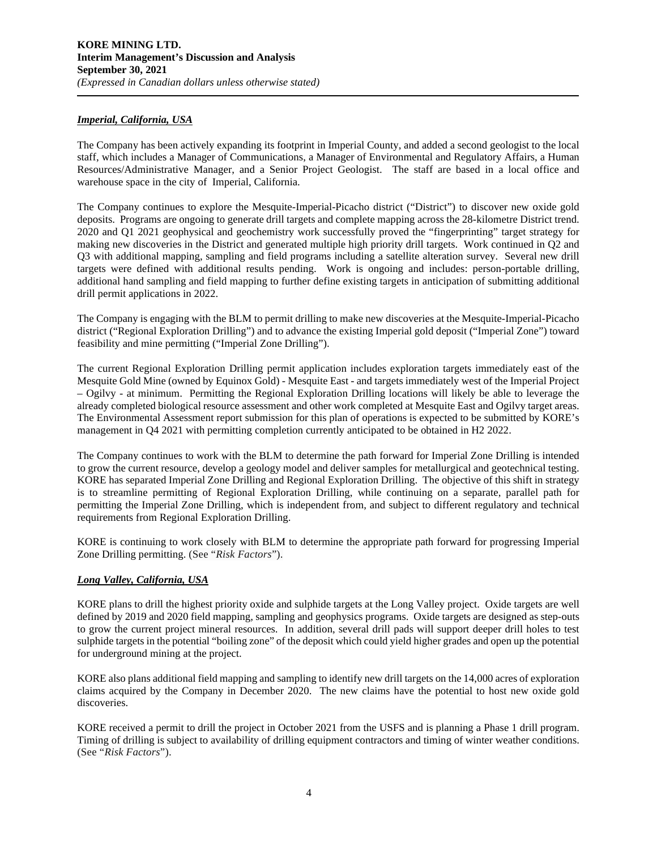# *Imperial, California, USA*

The Company has been actively expanding its footprint in Imperial County, and added a second geologist to the local staff, which includes a Manager of Communications, a Manager of Environmental and Regulatory Affairs, a Human Resources/Administrative Manager, and a Senior Project Geologist. The staff are based in a local office and warehouse space in the city of Imperial, California.

The Company continues to explore the Mesquite-Imperial-Picacho district ("District") to discover new oxide gold deposits. Programs are ongoing to generate drill targets and complete mapping across the 28-kilometre District trend. 2020 and Q1 2021 geophysical and geochemistry work successfully proved the "fingerprinting" target strategy for making new discoveries in the District and generated multiple high priority drill targets. Work continued in Q2 and Q3 with additional mapping, sampling and field programs including a satellite alteration survey. Several new drill targets were defined with additional results pending. Work is ongoing and includes: person-portable drilling, additional hand sampling and field mapping to further define existing targets in anticipation of submitting additional drill permit applications in 2022.

The Company is engaging with the BLM to permit drilling to make new discoveries at the Mesquite-Imperial-Picacho district ("Regional Exploration Drilling") and to advance the existing Imperial gold deposit ("Imperial Zone") toward feasibility and mine permitting ("Imperial Zone Drilling").

The current Regional Exploration Drilling permit application includes exploration targets immediately east of the Mesquite Gold Mine (owned by Equinox Gold) - Mesquite East - and targets immediately west of the Imperial Project – Ogilvy - at minimum. Permitting the Regional Exploration Drilling locations will likely be able to leverage the already completed biological resource assessment and other work completed at Mesquite East and Ogilvy target areas. The Environmental Assessment report submission for this plan of operations is expected to be submitted by KORE's management in Q4 2021 with permitting completion currently anticipated to be obtained in H2 2022.

The Company continues to work with the BLM to determine the path forward for Imperial Zone Drilling is intended to grow the current resource, develop a geology model and deliver samples for metallurgical and geotechnical testing. KORE has separated Imperial Zone Drilling and Regional Exploration Drilling. The objective of this shift in strategy is to streamline permitting of Regional Exploration Drilling, while continuing on a separate, parallel path for permitting the Imperial Zone Drilling, which is independent from, and subject to different regulatory and technical requirements from Regional Exploration Drilling.

KORE is continuing to work closely with BLM to determine the appropriate path forward for progressing Imperial Zone Drilling permitting. (See "*Risk Factors*").

# *Long Valley, California, USA*

KORE plans to drill the highest priority oxide and sulphide targets at the Long Valley project. Oxide targets are well defined by 2019 and 2020 field mapping, sampling and geophysics programs. Oxide targets are designed as step-outs to grow the current project mineral resources. In addition, several drill pads will support deeper drill holes to test sulphide targets in the potential "boiling zone" of the deposit which could yield higher grades and open up the potential for underground mining at the project.

KORE also plans additional field mapping and sampling to identify new drill targets on the 14,000 acres of exploration claims acquired by the Company in December 2020. The new claims have the potential to host new oxide gold discoveries.

KORE received a permit to drill the project in October 2021 from the USFS and is planning a Phase 1 drill program. Timing of drilling is subject to availability of drilling equipment contractors and timing of winter weather conditions. (See "*Risk Factors*").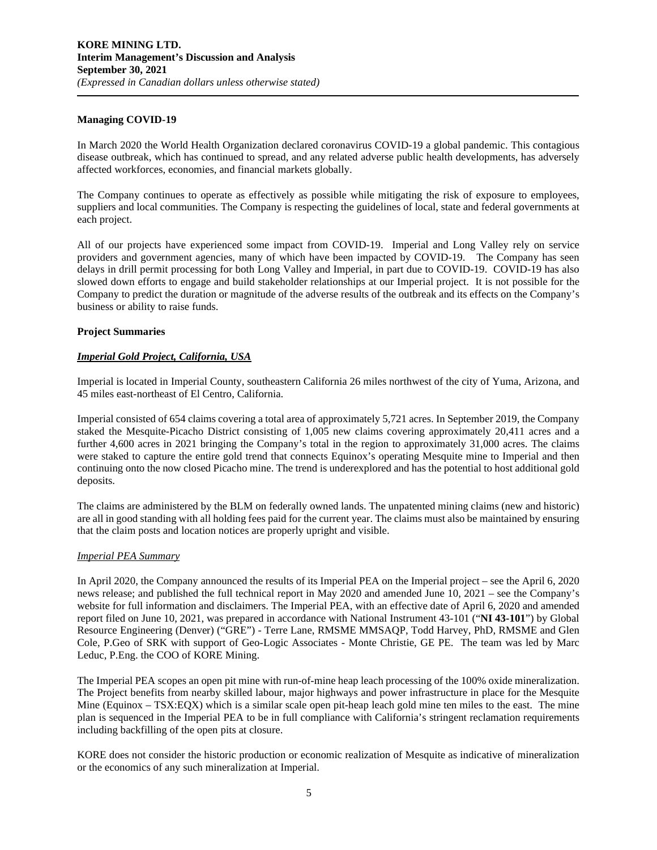## **Managing COVID-19**

In March 2020 the World Health Organization declared coronavirus COVID-19 a global pandemic. This contagious disease outbreak, which has continued to spread, and any related adverse public health developments, has adversely affected workforces, economies, and financial markets globally.

The Company continues to operate as effectively as possible while mitigating the risk of exposure to employees, suppliers and local communities. The Company is respecting the guidelines of local, state and federal governments at each project.

All of our projects have experienced some impact from COVID-19. Imperial and Long Valley rely on service providers and government agencies, many of which have been impacted by COVID-19. The Company has seen delays in drill permit processing for both Long Valley and Imperial, in part due to COVID-19. COVID-19 has also slowed down efforts to engage and build stakeholder relationships at our Imperial project. It is not possible for the Company to predict the duration or magnitude of the adverse results of the outbreak and its effects on the Company's business or ability to raise funds.

## **Project Summaries**

## *Imperial Gold Project, California, USA*

Imperial is located in Imperial County, southeastern California 26 miles northwest of the city of Yuma, Arizona, and 45 miles east-northeast of El Centro, California.

Imperial consisted of 654 claims covering a total area of approximately 5,721 acres. In September 2019, the Company staked the Mesquite-Picacho District consisting of 1,005 new claims covering approximately 20,411 acres and a further 4,600 acres in 2021 bringing the Company's total in the region to approximately 31,000 acres. The claims were staked to capture the entire gold trend that connects Equinox's operating Mesquite mine to Imperial and then continuing onto the now closed Picacho mine. The trend is underexplored and has the potential to host additional gold deposits.

The claims are administered by the BLM on federally owned lands. The unpatented mining claims (new and historic) are all in good standing with all holding fees paid for the current year. The claims must also be maintained by ensuring that the claim posts and location notices are properly upright and visible.

#### *Imperial PEA Summary*

In April 2020, the Company announced the results of its Imperial PEA on the Imperial project – see the April 6, 2020 news release; and published the full technical report in May 2020 and amended June 10, 2021 – see the Company's website for full information and disclaimers. The Imperial PEA, with an effective date of April 6, 2020 and amended report filed on June 10, 2021, was prepared in accordance with National Instrument 43-101 ("**NI 43-101**") by Global Resource Engineering (Denver) ("GRE") - Terre Lane, RMSME MMSAQP, Todd Harvey, PhD, RMSME and Glen Cole, P.Geo of SRK with support of Geo-Logic Associates - Monte Christie, GE PE. The team was led by Marc Leduc, P.Eng. the COO of KORE Mining.

The Imperial PEA scopes an open pit mine with run-of-mine heap leach processing of the 100% oxide mineralization. The Project benefits from nearby skilled labour, major highways and power infrastructure in place for the Mesquite Mine (Equinox – TSX:EQX) which is a similar scale open pit-heap leach gold mine ten miles to the east. The mine plan is sequenced in the Imperial PEA to be in full compliance with California's stringent reclamation requirements including backfilling of the open pits at closure.

KORE does not consider the historic production or economic realization of Mesquite as indicative of mineralization or the economics of any such mineralization at Imperial.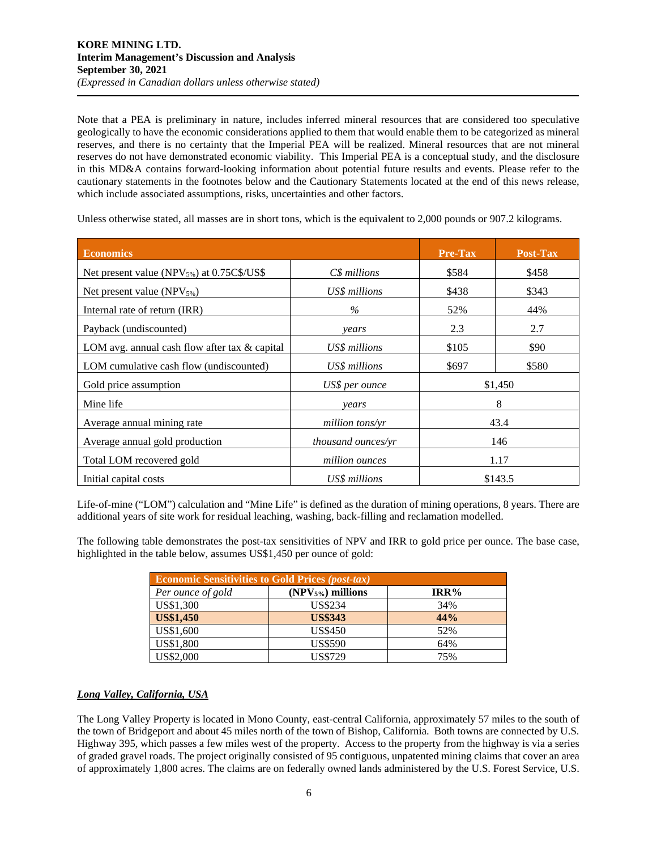Note that a PEA is preliminary in nature, includes inferred mineral resources that are considered too speculative geologically to have the economic considerations applied to them that would enable them to be categorized as mineral reserves, and there is no certainty that the Imperial PEA will be realized. Mineral resources that are not mineral reserves do not have demonstrated economic viability. This Imperial PEA is a conceptual study, and the disclosure in this MD&A contains forward-looking information about potential future results and events. Please refer to the cautionary statements in the footnotes below and the Cautionary Statements located at the end of this news release, which include associated assumptions, risks, uncertainties and other factors.

Unless otherwise stated, all masses are in short tons, which is the equivalent to 2,000 pounds or 907.2 kilograms.

| <b>Economics</b>                                       |                    | <b>Pre-Tax</b> | <b>Post-Tax</b> |  |
|--------------------------------------------------------|--------------------|----------------|-----------------|--|
| Net present value (NPV <sub>5%</sub> ) at 0.75C\$/US\$ | $C\$ s millions    | \$584          | \$458           |  |
| Net present value $(NPV_{5\%})$                        | US\$ millions      | \$438          | \$343           |  |
| Internal rate of return (IRR)                          | $\%$               | 52%            | 44%             |  |
| Payback (undiscounted)                                 | years              | 2.3            | 2.7             |  |
| LOM avg. annual cash flow after tax $\&$ capital       | US\$ millions      | \$105          | \$90            |  |
| LOM cumulative cash flow (undiscounted)                | US\$ millions      | \$697          | \$580           |  |
| Gold price assumption                                  | US\$ per ounce     | \$1,450        |                 |  |
| Mine life                                              | years              | 8              |                 |  |
| Average annual mining rate                             | million tons/yr    | 43.4           |                 |  |
| Average annual gold production                         | thousand ounces/yr | 146            |                 |  |
| Total LOM recovered gold                               | million ounces     | 1.17           |                 |  |
| Initial capital costs                                  | US\$ millions      | \$143.5        |                 |  |

Life-of-mine ("LOM") calculation and "Mine Life" is defined as the duration of mining operations, 8 years. There are additional years of site work for residual leaching, washing, back-filling and reclamation modelled.

The following table demonstrates the post-tax sensitivities of NPV and IRR to gold price per ounce. The base case, highlighted in the table below, assumes US\$1,450 per ounce of gold:

| <b>Economic Sensitivities to Gold Prices (post-tax)</b> |                    |         |  |  |  |  |  |  |  |
|---------------------------------------------------------|--------------------|---------|--|--|--|--|--|--|--|
| Per ounce of gold                                       | $(NPV5%)$ millions | $IRR\%$ |  |  |  |  |  |  |  |
| US\$1,300                                               | <b>US\$234</b>     | 34%     |  |  |  |  |  |  |  |
| <b>US\$1,450</b>                                        | <b>US\$343</b>     | 44%     |  |  |  |  |  |  |  |
| US\$1,600                                               | <b>US\$450</b>     | 52%     |  |  |  |  |  |  |  |
| US\$1,800                                               | <b>US\$590</b>     | 64%     |  |  |  |  |  |  |  |
| US\$2,000                                               | <b>US\$729</b>     | 75%     |  |  |  |  |  |  |  |

# *Long Valley, California, USA*

The Long Valley Property is located in Mono County, east-central California, approximately 57 miles to the south of the town of Bridgeport and about 45 miles north of the town of Bishop, California. Both towns are connected by U.S. Highway 395, which passes a few miles west of the property. Access to the property from the highway is via a series of graded gravel roads. The project originally consisted of 95 contiguous, unpatented mining claims that cover an area of approximately 1,800 acres. The claims are on federally owned lands administered by the U.S. Forest Service, U.S.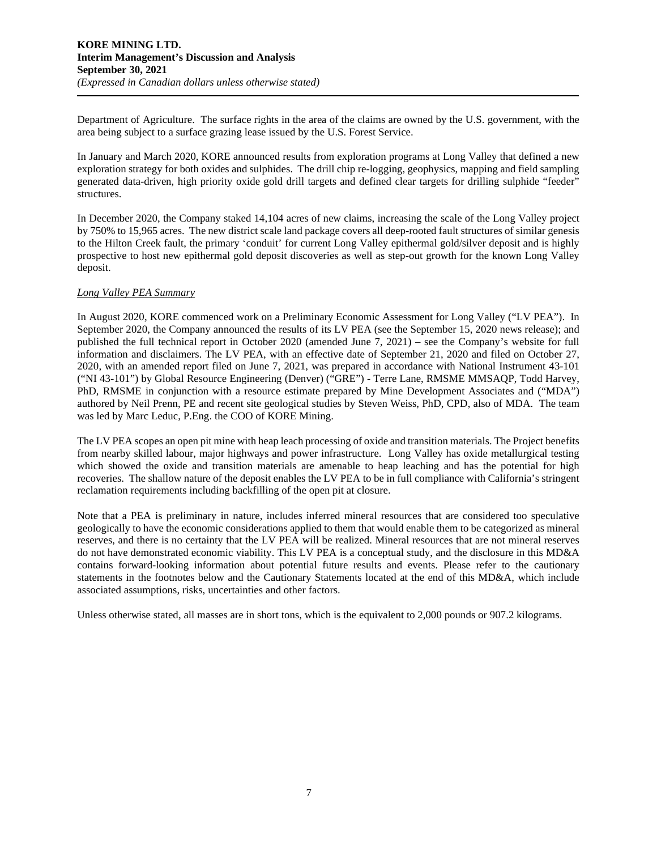Department of Agriculture. The surface rights in the area of the claims are owned by the U.S. government, with the area being subject to a surface grazing lease issued by the U.S. Forest Service.

In January and March 2020, KORE announced results from exploration programs at Long Valley that defined a new exploration strategy for both oxides and sulphides. The drill chip re-logging, geophysics, mapping and field sampling generated data-driven, high priority oxide gold drill targets and defined clear targets for drilling sulphide "feeder" structures.

In December 2020, the Company staked 14,104 acres of new claims, increasing the scale of the Long Valley project by 750% to 15,965 acres. The new district scale land package covers all deep-rooted fault structures of similar genesis to the Hilton Creek fault, the primary 'conduit' for current Long Valley epithermal gold/silver deposit and is highly prospective to host new epithermal gold deposit discoveries as well as step-out growth for the known Long Valley deposit.

## *Long Valley PEA Summary*

In August 2020, KORE commenced work on a Preliminary Economic Assessment for Long Valley ("LV PEA"). In September 2020, the Company announced the results of its LV PEA (see the September 15, 2020 news release); and published the full technical report in October 2020 (amended June 7, 2021) – see the Company's website for full information and disclaimers. The LV PEA, with an effective date of September 21, 2020 and filed on October 27, 2020, with an amended report filed on June 7, 2021, was prepared in accordance with National Instrument 43-101 ("NI 43-101") by Global Resource Engineering (Denver) ("GRE") - Terre Lane, RMSME MMSAQP, Todd Harvey, PhD, RMSME in conjunction with a resource estimate prepared by Mine Development Associates and ("MDA") authored by Neil Prenn, PE and recent site geological studies by Steven Weiss, PhD, CPD, also of MDA. The team was led by Marc Leduc, P.Eng. the COO of KORE Mining.

The LV PEA scopes an open pit mine with heap leach processing of oxide and transition materials. The Project benefits from nearby skilled labour, major highways and power infrastructure. Long Valley has oxide metallurgical testing which showed the oxide and transition materials are amenable to heap leaching and has the potential for high recoveries. The shallow nature of the deposit enables the LV PEA to be in full compliance with California's stringent reclamation requirements including backfilling of the open pit at closure.

Note that a PEA is preliminary in nature, includes inferred mineral resources that are considered too speculative geologically to have the economic considerations applied to them that would enable them to be categorized as mineral reserves, and there is no certainty that the LV PEA will be realized. Mineral resources that are not mineral reserves do not have demonstrated economic viability. This LV PEA is a conceptual study, and the disclosure in this MD&A contains forward-looking information about potential future results and events. Please refer to the cautionary statements in the footnotes below and the Cautionary Statements located at the end of this MD&A, which include associated assumptions, risks, uncertainties and other factors.

Unless otherwise stated, all masses are in short tons, which is the equivalent to 2,000 pounds or 907.2 kilograms.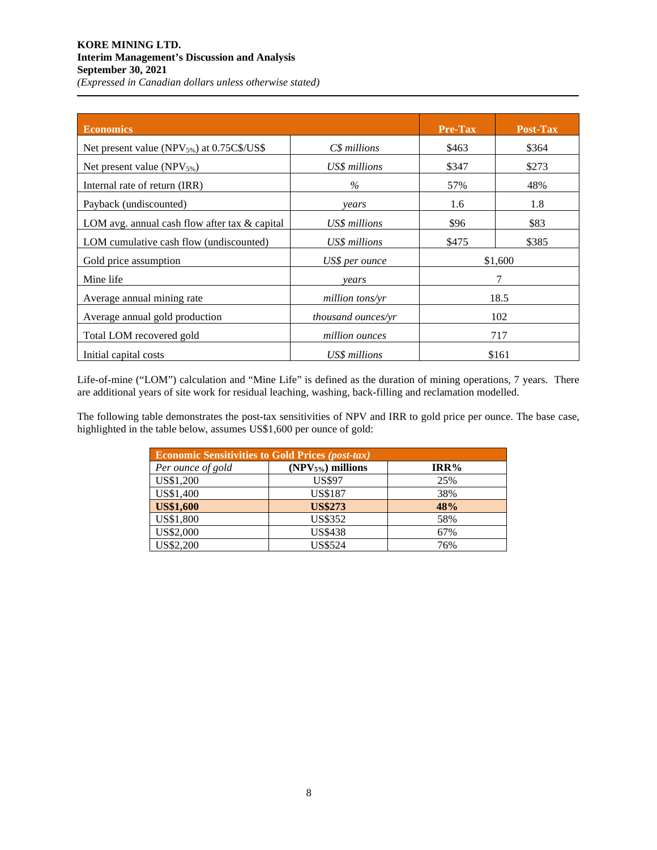# **KORE MINING LTD. Interim Management's Discussion and Analysis September 30, 2021**  *(Expressed in Canadian dollars unless otherwise stated)*

| <b>Economics</b>                                       |                    | <b>Pre-Tax</b> | Post-Tax |
|--------------------------------------------------------|--------------------|----------------|----------|
| Net present value (NPV <sub>5%</sub> ) at 0.75C\$/US\$ | $C\$ s millions    | \$463          | \$364    |
| Net present value $(NPV_{5\%})$                        | US\$ millions      | \$347          | \$273    |
| Internal rate of return (IRR)                          | $\%$               | 57%            | 48%      |
| Payback (undiscounted)                                 | years              | 1.6            | 1.8      |
| LOM avg. annual cash flow after tax $\&$ capital       | US\$ millions      | \$96           | \$83     |
| LOM cumulative cash flow (undiscounted)                | US\$ millions      | \$475          | \$385    |
| Gold price assumption                                  | US\$ per ounce     | \$1,600        |          |
| Mine life                                              | vears              |                |          |
| Average annual mining rate                             | million tons/yr    | 18.5           |          |
| Average annual gold production                         | thousand ounces/yr | 102            |          |
| Total LOM recovered gold                               | million ounces     | 717            |          |
| Initial capital costs                                  | US\$ millions      |                | \$161    |

Life-of-mine ("LOM") calculation and "Mine Life" is defined as the duration of mining operations, 7 years. There are additional years of site work for residual leaching, washing, back-filling and reclamation modelled.

The following table demonstrates the post-tax sensitivities of NPV and IRR to gold price per ounce. The base case, highlighted in the table below, assumes US\$1,600 per ounce of gold:

| <b>Economic Sensitivities to Gold Prices (post-tax)</b> |                               |         |  |  |  |  |  |  |
|---------------------------------------------------------|-------------------------------|---------|--|--|--|--|--|--|
| Per ounce of gold                                       | (NPV <sub>5%</sub> ) millions | $IRR\%$ |  |  |  |  |  |  |
| US\$1,200                                               | <b>US\$97</b>                 | 25%     |  |  |  |  |  |  |
| US\$1,400                                               | <b>US\$187</b>                | 38%     |  |  |  |  |  |  |
| <b>US\$1,600</b>                                        | <b>US\$273</b>                | 48%     |  |  |  |  |  |  |
| US\$1,800                                               | <b>US\$352</b>                | 58%     |  |  |  |  |  |  |
| US\$2,000                                               | <b>US\$438</b>                | 67%     |  |  |  |  |  |  |
| US\$2,200                                               | <b>US\$524</b>                | 76%     |  |  |  |  |  |  |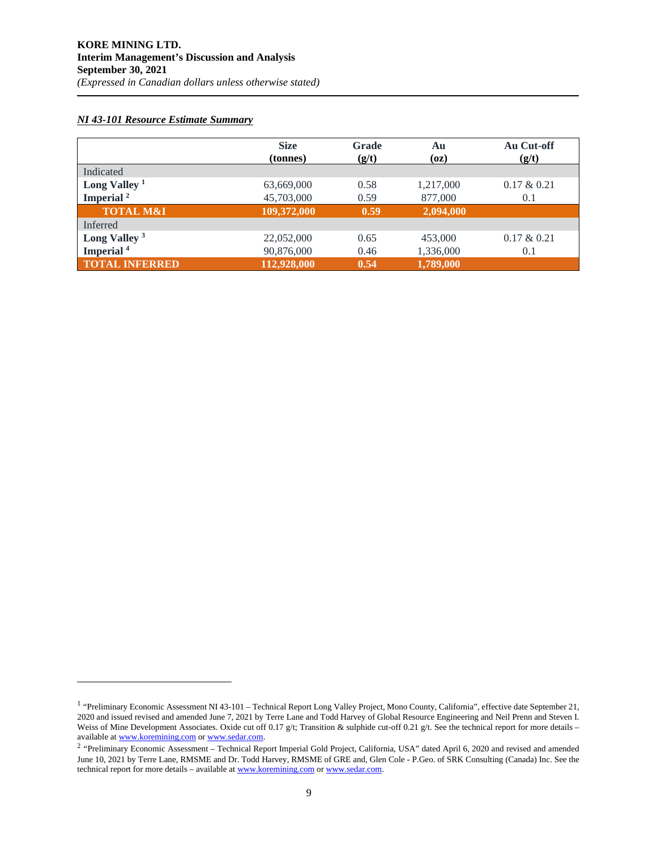## *NI 43-101 Resource Estimate Summary*

|                          | <b>Size</b><br>(tonnes) | Grade<br>(g/t) | Au<br>(oz) | Au Cut-off<br>(g/t) |
|--------------------------|-------------------------|----------------|------------|---------------------|
| Indicated                |                         |                |            |                     |
| Long Valley $1$          | 63,669,000              | 0.58           | 1,217,000  | $0.17 \& 0.21$      |
| Imperial $2$             | 45,703,000              | 0.59           | 877,000    | 0.1                 |
| <b>TOTAL M&amp;I</b>     | 109,372,000             | 0.59           | 2,094,000  |                     |
| Inferred                 |                         |                |            |                     |
| Long Valley <sup>3</sup> | 22,052,000              | 0.65           | 453,000    | $0.17 \& 0.21$      |
| Imperial <sup>4</sup>    | 90,876,000              | 0.46           | 1,336,000  | 0.1                 |
| <b>TOTAL INFERRED</b>    | 112,928,000             | 0.54           | 1,789,000  |                     |

<sup>&</sup>lt;sup>1</sup> "Preliminary Economic Assessment NI 43-101 – Technical Report Long Valley Project, Mono County, California", effective date September 21, 2020 and issued revised and amended June 7, 2021 by Terre Lane and Todd Harvey of Global Resource Engineering and Neil Prenn and Steven I. Weiss of Mine Development Associates. Oxide cut off 0.17 g/t; Transition & sulphide cut-off 0.21 g/t. See the technical report for more details – available a[t www.koremining.com o](http://www.koremining.com/)[r www.sedar.com.](http://www.sedar.com/)

<sup>&</sup>lt;sup>2</sup> "Preliminary Economic Assessment – Technical Report Imperial Gold Project, California, USA" dated April 6, 2020 and revised and amended June 10, 2021 by Terre Lane, RMSME and Dr. Todd Harvey, RMSME of GRE and, Glen Cole - P.Geo. of SRK Consulting (Canada) Inc. See the technical report for more details – available a[t www.koremining.com o](http://www.koremining.com/)r [www.sedar.com.](http://www.sedar.com/)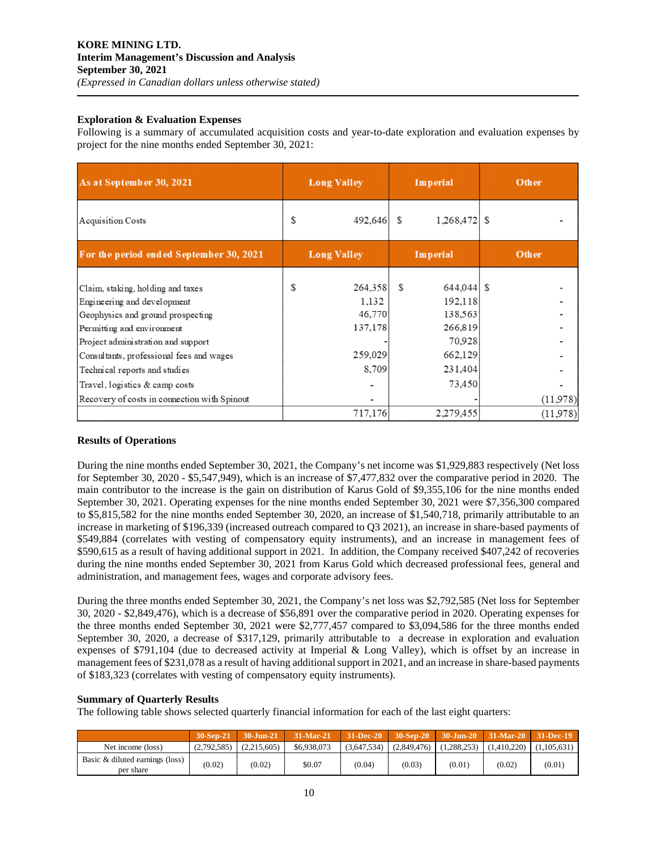## **Exploration & Evaluation Expenses**

Following is a summary of accumulated acquisition costs and year-to-date exploration and evaluation expenses by project for the nine months ended September 30, 2021:

| <b>Long Valley</b> |                                                | Imperial |                                                                         | Other     |                      |
|--------------------|------------------------------------------------|----------|-------------------------------------------------------------------------|-----------|----------------------|
| S                  |                                                | S        |                                                                         |           |                      |
| <b>Long Valley</b> |                                                | Imperial |                                                                         | Other     |                      |
| S                  | 1,132<br>46,770<br>137,178<br>259,029<br>8,709 | S        | 192,118<br>138,563<br>266,819<br>70,928<br>662,129<br>231,404<br>73,450 |           |                      |
|                    |                                                |          |                                                                         |           | (11,978)<br>(11,978) |
|                    |                                                | 717,176  | 492,646<br>264,358                                                      | 2,279,455 | $1,268,472$ \$       |

# **Results of Operations**

During the nine months ended September 30, 2021, the Company's net income was \$1,929,883 respectively (Net loss for September 30, 2020 - \$5,547,949), which is an increase of \$7,477,832 over the comparative period in 2020. The main contributor to the increase is the gain on distribution of Karus Gold of \$9,355,106 for the nine months ended September 30, 2021. Operating expenses for the nine months ended September 30, 2021 were \$7,356,300 compared to \$5,815,582 for the nine months ended September 30, 2020, an increase of \$1,540,718, primarily attributable to an increase in marketing of \$196,339 (increased outreach compared to Q3 2021), an increase in share-based payments of \$549,884 (correlates with vesting of compensatory equity instruments), and an increase in management fees of \$590,615 as a result of having additional support in 2021. In addition, the Company received \$407,242 of recoveries during the nine months ended September 30, 2021 from Karus Gold which decreased professional fees, general and administration, and management fees, wages and corporate advisory fees.

During the three months ended September 30, 2021, the Company's net loss was \$2,792,585 (Net loss for September 30, 2020 - \$2,849,476), which is a decrease of \$56,891 over the comparative period in 2020. Operating expenses for the three months ended September 30, 2021 were \$2,777,457 compared to \$3,094,586 for the three months ended September 30, 2020, a decrease of \$317,129, primarily attributable to a decrease in exploration and evaluation expenses of \$791,104 (due to decreased activity at Imperial & Long Valley), which is offset by an increase in management fees of \$231,078 as a result of having additional support in 2021, and an increase in share-based payments of \$183,323 (correlates with vesting of compensatory equity instruments).

# **Summary of Quarterly Results**

The following table shows selected quarterly financial information for each of the last eight quarters:

|                                              | 30-Sep-21   | $30$ -Jun-21 | 31-Mar-21   | 31-Dec-20   |             |             | $-30$ -Sep-20 $-30$ -Jun-20 $-31$ -Mar-20 $-31$ -Dec-19 |             |
|----------------------------------------------|-------------|--------------|-------------|-------------|-------------|-------------|---------------------------------------------------------|-------------|
| Net income (loss)                            | (2.792.585) | (2.215.605)  | \$6,938,073 | (3.647.534) | (2,849,476) | (1.288.253) | (1.410.220)                                             | (1,105,631) |
| Basic & diluted earnings (loss)<br>per share | (0.02)      | (0.02)       | \$0.07      | (0.04)      | (0.03)      | (0.01)      | (0.02)                                                  | (0.01)      |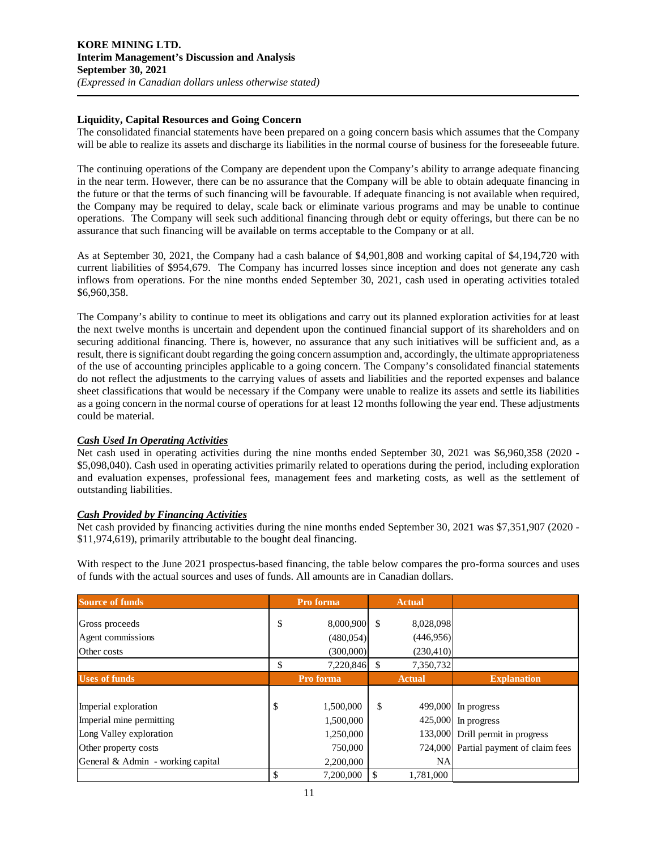## **Liquidity, Capital Resources and Going Concern**

The consolidated financial statements have been prepared on a going concern basis which assumes that the Company will be able to realize its assets and discharge its liabilities in the normal course of business for the foreseeable future.

The continuing operations of the Company are dependent upon the Company's ability to arrange adequate financing in the near term. However, there can be no assurance that the Company will be able to obtain adequate financing in the future or that the terms of such financing will be favourable. If adequate financing is not available when required, the Company may be required to delay, scale back or eliminate various programs and may be unable to continue operations. The Company will seek such additional financing through debt or equity offerings, but there can be no assurance that such financing will be available on terms acceptable to the Company or at all.

As at September 30, 2021, the Company had a cash balance of \$4,901,808 and working capital of \$4,194,720 with current liabilities of \$954,679. The Company has incurred losses since inception and does not generate any cash inflows from operations. For the nine months ended September 30, 2021, cash used in operating activities totaled \$6,960,358.

The Company's ability to continue to meet its obligations and carry out its planned exploration activities for at least the next twelve months is uncertain and dependent upon the continued financial support of its shareholders and on securing additional financing. There is, however, no assurance that any such initiatives will be sufficient and, as a result, there is significant doubt regarding the going concern assumption and, accordingly, the ultimate appropriateness of the use of accounting principles applicable to a going concern. The Company's consolidated financial statements do not reflect the adjustments to the carrying values of assets and liabilities and the reported expenses and balance sheet classifications that would be necessary if the Company were unable to realize its assets and settle its liabilities as a going concern in the normal course of operations for at least 12 months following the year end. These adjustments could be material.

# *Cash Used In Operating Activities*

Net cash used in operating activities during the nine months ended September 30, 2021 was \$6,960,358 (2020 - \$5,098,040). Cash used in operating activities primarily related to operations during the period, including exploration and evaluation expenses, professional fees, management fees and marketing costs, as well as the settlement of outstanding liabilities.

# *Cash Provided by Financing Activities*

Net cash provided by financing activities during the nine months ended September 30, 2021 was \$7,351,907 (2020 - \$11,974,619), primarily attributable to the bought deal financing.

With respect to the June 2021 prospectus-based financing, the table below compares the pro-forma sources and uses of funds with the actual sources and uses of funds. All amounts are in Canadian dollars.

| <b>Source of funds</b>            | Pro forma       |    | <b>Actual</b> |                                       |
|-----------------------------------|-----------------|----|---------------|---------------------------------------|
| Gross proceeds                    | \$<br>8,000,900 | \$ | 8,028,098     |                                       |
| Agent commissions                 | (480,054)       |    | (446,956)     |                                       |
| Other costs                       | (300,000)       |    | (230, 410)    |                                       |
|                                   | \$<br>7,220,846 | \$ | 7,350,732     |                                       |
| <b>Uses of funds</b>              | Pro forma       |    | <b>Actual</b> | <b>Explanation</b>                    |
|                                   |                 |    |               |                                       |
| Imperial exploration              | \$<br>1,500,000 | \$ |               | 499,000 In progress                   |
| Imperial mine permitting          | 1,500,000       |    |               | 425,000 In progress                   |
| Long Valley exploration           | 1,250,000       |    |               | 133,000 Drill permit in progress      |
| Other property costs              | 750,000         |    |               | 724,000 Partial payment of claim fees |
| General & Admin - working capital | 2,200,000       |    | <b>NA</b>     |                                       |
|                                   | \$<br>7.200.000 | \$ | 1,781,000     |                                       |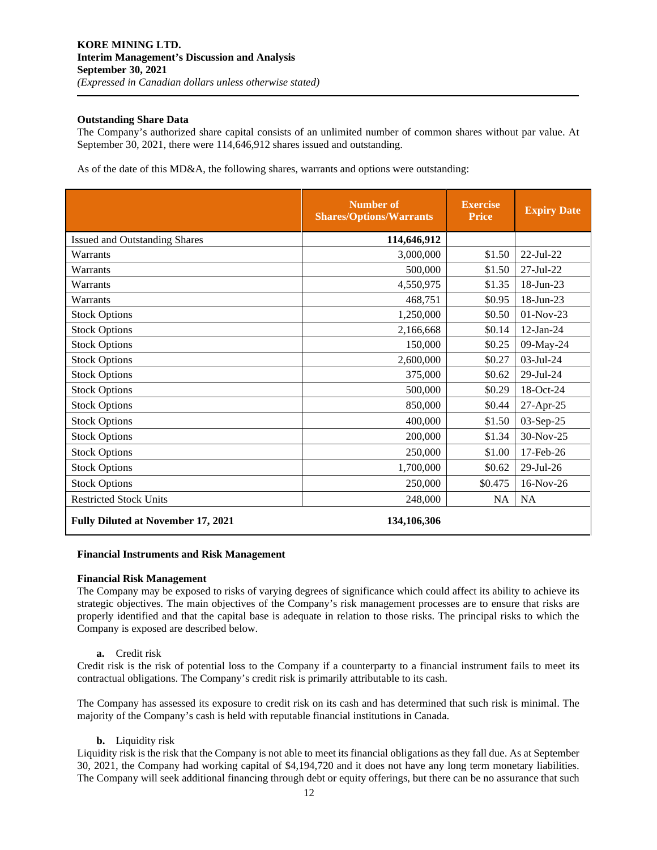## **Outstanding Share Data**

The Company's authorized share capital consists of an unlimited number of common shares without par value. At September 30, 2021, there were 114,646,912 shares issued and outstanding.

As of the date of this MD&A, the following shares, warrants and options were outstanding:

|                                           | Number of<br><b>Shares/Options/Warrants</b> | <b>Exercise</b><br><b>Price</b> | <b>Expiry Date</b> |
|-------------------------------------------|---------------------------------------------|---------------------------------|--------------------|
| <b>Issued and Outstanding Shares</b>      | 114,646,912                                 |                                 |                    |
| Warrants                                  | 3,000,000                                   | \$1.50                          | 22-Jul-22          |
| Warrants                                  | 500,000                                     | \$1.50                          | 27-Jul-22          |
| Warrants                                  | 4,550,975                                   | \$1.35                          | 18-Jun-23          |
| Warrants                                  | 468,751                                     | \$0.95                          | 18-Jun-23          |
| <b>Stock Options</b>                      | 1,250,000                                   | \$0.50                          | 01-Nov-23          |
| <b>Stock Options</b>                      | 2,166,668                                   | \$0.14                          | $12$ -Jan-24       |
| <b>Stock Options</b>                      | 150,000                                     | \$0.25                          | 09-May-24          |
| <b>Stock Options</b>                      | 2,600,000                                   | \$0.27                          | 03-Jul-24          |
| <b>Stock Options</b>                      | 375,000                                     | \$0.62                          | 29-Jul-24          |
| <b>Stock Options</b>                      | 500,000                                     | \$0.29                          | 18-Oct-24          |
| <b>Stock Options</b>                      | 850,000                                     | \$0.44                          | 27-Apr-25          |
| <b>Stock Options</b>                      | 400,000                                     | \$1.50                          | 03-Sep-25          |
| <b>Stock Options</b>                      | 200,000                                     | \$1.34                          | 30-Nov-25          |
| <b>Stock Options</b>                      | 250,000                                     | \$1.00                          | 17-Feb-26          |
| <b>Stock Options</b>                      | 1,700,000                                   | \$0.62                          | $29$ -Jul- $26$    |
| <b>Stock Options</b>                      | 250,000                                     | \$0.475                         | $16-Nov-26$        |
| <b>Restricted Stock Units</b>             | 248,000                                     | <b>NA</b>                       | NA                 |
| <b>Fully Diluted at November 17, 2021</b> | 134,106,306                                 |                                 |                    |

## **Financial Instruments and Risk Management**

#### **Financial Risk Management**

The Company may be exposed to risks of varying degrees of significance which could affect its ability to achieve its strategic objectives. The main objectives of the Company's risk management processes are to ensure that risks are properly identified and that the capital base is adequate in relation to those risks. The principal risks to which the Company is exposed are described below.

**a.** Credit risk

Credit risk is the risk of potential loss to the Company if a counterparty to a financial instrument fails to meet its contractual obligations. The Company's credit risk is primarily attributable to its cash.

The Company has assessed its exposure to credit risk on its cash and has determined that such risk is minimal. The majority of the Company's cash is held with reputable financial institutions in Canada.

**b.** Liquidity risk

Liquidity risk is the risk that the Company is not able to meet its financial obligations as they fall due. As at September 30, 2021, the Company had working capital of \$4,194,720 and it does not have any long term monetary liabilities. The Company will seek additional financing through debt or equity offerings, but there can be no assurance that such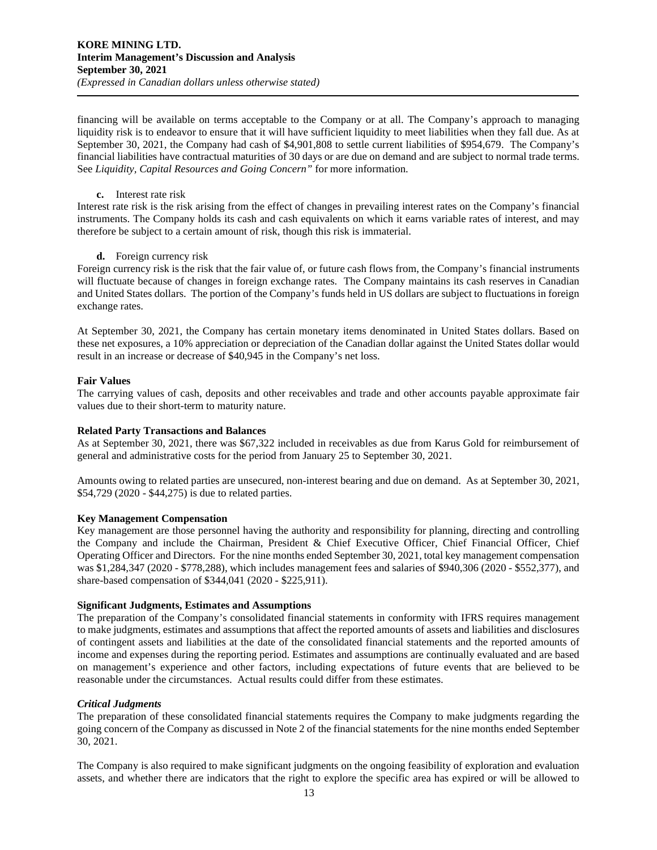financing will be available on terms acceptable to the Company or at all. The Company's approach to managing liquidity risk is to endeavor to ensure that it will have sufficient liquidity to meet liabilities when they fall due. As at September 30, 2021, the Company had cash of \$4,901,808 to settle current liabilities of \$954,679. The Company's financial liabilities have contractual maturities of 30 days or are due on demand and are subject to normal trade terms. See *Liquidity, Capital Resources and Going Concern"* for more information.

#### **c.** Interest rate risk

Interest rate risk is the risk arising from the effect of changes in prevailing interest rates on the Company's financial instruments. The Company holds its cash and cash equivalents on which it earns variable rates of interest, and may therefore be subject to a certain amount of risk, though this risk is immaterial.

# **d.** Foreign currency risk

Foreign currency risk is the risk that the fair value of, or future cash flows from, the Company's financial instruments will fluctuate because of changes in foreign exchange rates. The Company maintains its cash reserves in Canadian and United States dollars. The portion of the Company's funds held in US dollars are subject to fluctuations in foreign exchange rates.

At September 30, 2021, the Company has certain monetary items denominated in United States dollars. Based on these net exposures, a 10% appreciation or depreciation of the Canadian dollar against the United States dollar would result in an increase or decrease of \$40,945 in the Company's net loss.

# **Fair Values**

The carrying values of cash, deposits and other receivables and trade and other accounts payable approximate fair values due to their short-term to maturity nature.

# **Related Party Transactions and Balances**

As at September 30, 2021, there was \$67,322 included in receivables as due from Karus Gold for reimbursement of general and administrative costs for the period from January 25 to September 30, 2021.

Amounts owing to related parties are unsecured, non-interest bearing and due on demand. As at September 30, 2021, \$54,729 (2020 - \$44,275) is due to related parties.

# **Key Management Compensation**

Key management are those personnel having the authority and responsibility for planning, directing and controlling the Company and include the Chairman, President & Chief Executive Officer, Chief Financial Officer, Chief Operating Officer and Directors. For the nine months ended September 30, 2021, total key management compensation was \$1,284,347 (2020 - \$778,288), which includes management fees and salaries of \$940,306 (2020 - \$552,377), and share-based compensation of \$344,041 (2020 - \$225,911).

# **Significant Judgments, Estimates and Assumptions**

The preparation of the Company's consolidated financial statements in conformity with IFRS requires management to make judgments, estimates and assumptions that affect the reported amounts of assets and liabilities and disclosures of contingent assets and liabilities at the date of the consolidated financial statements and the reported amounts of income and expenses during the reporting period. Estimates and assumptions are continually evaluated and are based on management's experience and other factors, including expectations of future events that are believed to be reasonable under the circumstances. Actual results could differ from these estimates.

# *Critical Judgments*

The preparation of these consolidated financial statements requires the Company to make judgments regarding the going concern of the Company as discussed in Note 2 of the financial statements for the nine months ended September 30, 2021.

The Company is also required to make significant judgments on the ongoing feasibility of exploration and evaluation assets, and whether there are indicators that the right to explore the specific area has expired or will be allowed to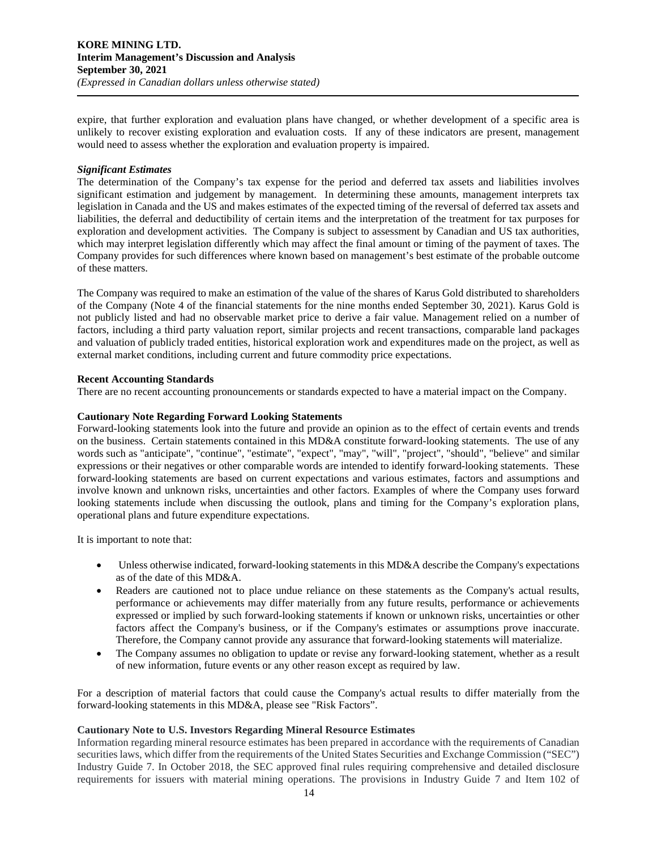expire, that further exploration and evaluation plans have changed, or whether development of a specific area is unlikely to recover existing exploration and evaluation costs. If any of these indicators are present, management would need to assess whether the exploration and evaluation property is impaired.

## *Significant Estimates*

The determination of the Company's tax expense for the period and deferred tax assets and liabilities involves significant estimation and judgement by management. In determining these amounts, management interprets tax legislation in Canada and the US and makes estimates of the expected timing of the reversal of deferred tax assets and liabilities, the deferral and deductibility of certain items and the interpretation of the treatment for tax purposes for exploration and development activities. The Company is subject to assessment by Canadian and US tax authorities, which may interpret legislation differently which may affect the final amount or timing of the payment of taxes. The Company provides for such differences where known based on management's best estimate of the probable outcome of these matters.

The Company was required to make an estimation of the value of the shares of Karus Gold distributed to shareholders of the Company (Note 4 of the financial statements for the nine months ended September 30, 2021). Karus Gold is not publicly listed and had no observable market price to derive a fair value. Management relied on a number of factors, including a third party valuation report, similar projects and recent transactions, comparable land packages and valuation of publicly traded entities, historical exploration work and expenditures made on the project, as well as external market conditions, including current and future commodity price expectations.

## **Recent Accounting Standards**

There are no recent accounting pronouncements or standards expected to have a material impact on the Company.

## **Cautionary Note Regarding Forward Looking Statements**

Forward-looking statements look into the future and provide an opinion as to the effect of certain events and trends on the business. Certain statements contained in this MD&A constitute forward-looking statements. The use of any words such as "anticipate", "continue", "estimate", "expect", "may", "will", "project", "should", "believe" and similar expressions or their negatives or other comparable words are intended to identify forward-looking statements. These forward-looking statements are based on current expectations and various estimates, factors and assumptions and involve known and unknown risks, uncertainties and other factors. Examples of where the Company uses forward looking statements include when discussing the outlook, plans and timing for the Company's exploration plans, operational plans and future expenditure expectations.

It is important to note that:

- Unless otherwise indicated, forward-looking statements in this MD&A describe the Company's expectations as of the date of this MD&A.
- Readers are cautioned not to place undue reliance on these statements as the Company's actual results, performance or achievements may differ materially from any future results, performance or achievements expressed or implied by such forward-looking statements if known or unknown risks, uncertainties or other factors affect the Company's business, or if the Company's estimates or assumptions prove inaccurate. Therefore, the Company cannot provide any assurance that forward-looking statements will materialize.
- The Company assumes no obligation to update or revise any forward-looking statement, whether as a result of new information, future events or any other reason except as required by law.

For a description of material factors that could cause the Company's actual results to differ materially from the forward-looking statements in this MD&A, please see "Risk Factors".

#### **Cautionary Note to U.S. Investors Regarding Mineral Resource Estimates**

Information regarding mineral resource estimates has been prepared in accordance with the requirements of Canadian securities laws, which differ from the requirements of the United States Securities and Exchange Commission ("SEC") Industry Guide 7. In October 2018, the SEC approved final rules requiring comprehensive and detailed disclosure requirements for issuers with material mining operations. The provisions in Industry Guide 7 and Item 102 of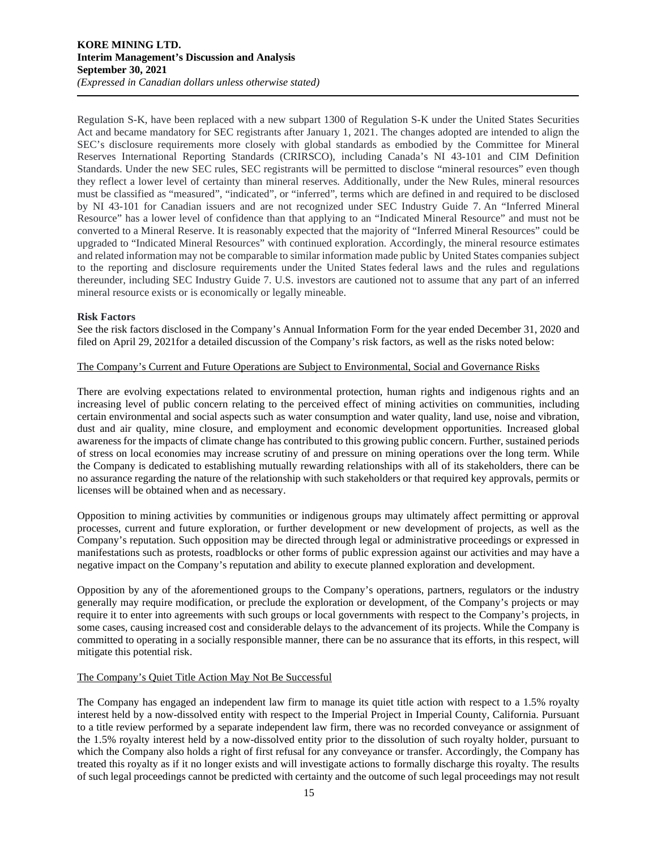Regulation S-K, have been replaced with a new subpart 1300 of Regulation S-K under the United States Securities Act and became mandatory for SEC registrants after January 1, 2021. The changes adopted are intended to align the SEC's disclosure requirements more closely with global standards as embodied by the Committee for Mineral Reserves International Reporting Standards (CRIRSCO), including Canada's NI 43-101 and CIM Definition Standards. Under the new SEC rules, SEC registrants will be permitted to disclose "mineral resources" even though they reflect a lower level of certainty than mineral reserves. Additionally, under the New Rules, mineral resources must be classified as "measured", "indicated", or "inferred", terms which are defined in and required to be disclosed by NI 43-101 for Canadian issuers and are not recognized under SEC Industry Guide 7. An "Inferred Mineral Resource" has a lower level of confidence than that applying to an "Indicated Mineral Resource" and must not be converted to a Mineral Reserve. It is reasonably expected that the majority of "Inferred Mineral Resources" could be upgraded to "Indicated Mineral Resources" with continued exploration. Accordingly, the mineral resource estimates and related information may not be comparable to similar information made public by United States companies subject to the reporting and disclosure requirements under the United States federal laws and the rules and regulations thereunder, including SEC Industry Guide 7. U.S. investors are cautioned not to assume that any part of an inferred mineral resource exists or is economically or legally mineable.

## **Risk Factors**

See the risk factors disclosed in the Company's Annual Information Form for the year ended December 31, 2020 and filed on April 29, 2021for a detailed discussion of the Company's risk factors, as well as the risks noted below:

# The Company's Current and Future Operations are Subject to Environmental, Social and Governance Risks

There are evolving expectations related to environmental protection, human rights and indigenous rights and an increasing level of public concern relating to the perceived effect of mining activities on communities, including certain environmental and social aspects such as water consumption and water quality, land use, noise and vibration, dust and air quality, mine closure, and employment and economic development opportunities. Increased global awareness for the impacts of climate change has contributed to this growing public concern. Further, sustained periods of stress on local economies may increase scrutiny of and pressure on mining operations over the long term. While the Company is dedicated to establishing mutually rewarding relationships with all of its stakeholders, there can be no assurance regarding the nature of the relationship with such stakeholders or that required key approvals, permits or licenses will be obtained when and as necessary.

Opposition to mining activities by communities or indigenous groups may ultimately affect permitting or approval processes, current and future exploration, or further development or new development of projects, as well as the Company's reputation. Such opposition may be directed through legal or administrative proceedings or expressed in manifestations such as protests, roadblocks or other forms of public expression against our activities and may have a negative impact on the Company's reputation and ability to execute planned exploration and development.

Opposition by any of the aforementioned groups to the Company's operations, partners, regulators or the industry generally may require modification, or preclude the exploration or development, of the Company's projects or may require it to enter into agreements with such groups or local governments with respect to the Company's projects, in some cases, causing increased cost and considerable delays to the advancement of its projects. While the Company is committed to operating in a socially responsible manner, there can be no assurance that its efforts, in this respect, will mitigate this potential risk.

#### The Company's Quiet Title Action May Not Be Successful

The Company has engaged an independent law firm to manage its quiet title action with respect to a 1.5% royalty interest held by a now-dissolved entity with respect to the Imperial Project in Imperial County, California. Pursuant to a title review performed by a separate independent law firm, there was no recorded conveyance or assignment of the 1.5% royalty interest held by a now-dissolved entity prior to the dissolution of such royalty holder, pursuant to which the Company also holds a right of first refusal for any conveyance or transfer. Accordingly, the Company has treated this royalty as if it no longer exists and will investigate actions to formally discharge this royalty. The results of such legal proceedings cannot be predicted with certainty and the outcome of such legal proceedings may not result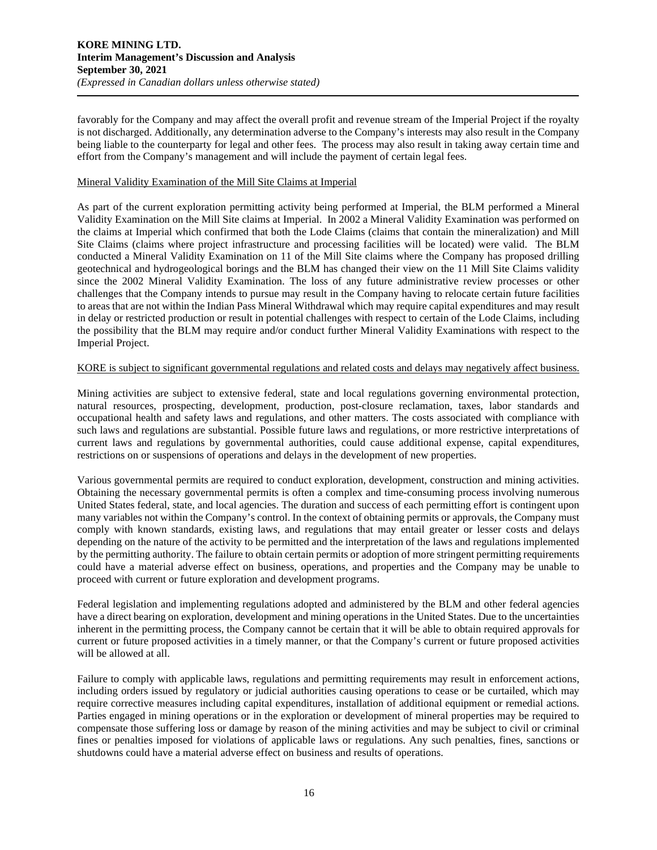favorably for the Company and may affect the overall profit and revenue stream of the Imperial Project if the royalty is not discharged. Additionally, any determination adverse to the Company's interests may also result in the Company being liable to the counterparty for legal and other fees. The process may also result in taking away certain time and effort from the Company's management and will include the payment of certain legal fees.

#### Mineral Validity Examination of the Mill Site Claims at Imperial

As part of the current exploration permitting activity being performed at Imperial, the BLM performed a Mineral Validity Examination on the Mill Site claims at Imperial. In 2002 a Mineral Validity Examination was performed on the claims at Imperial which confirmed that both the Lode Claims (claims that contain the mineralization) and Mill Site Claims (claims where project infrastructure and processing facilities will be located) were valid. The BLM conducted a Mineral Validity Examination on 11 of the Mill Site claims where the Company has proposed drilling geotechnical and hydrogeological borings and the BLM has changed their view on the 11 Mill Site Claims validity since the 2002 Mineral Validity Examination. The loss of any future administrative review processes or other challenges that the Company intends to pursue may result in the Company having to relocate certain future facilities to areas that are not within the Indian Pass Mineral Withdrawal which may require capital expenditures and may result in delay or restricted production or result in potential challenges with respect to certain of the Lode Claims, including the possibility that the BLM may require and/or conduct further Mineral Validity Examinations with respect to the Imperial Project.

#### KORE is subject to significant governmental regulations and related costs and delays may negatively affect business.

Mining activities are subject to extensive federal, state and local regulations governing environmental protection, natural resources, prospecting, development, production, post-closure reclamation, taxes, labor standards and occupational health and safety laws and regulations, and other matters. The costs associated with compliance with such laws and regulations are substantial. Possible future laws and regulations, or more restrictive interpretations of current laws and regulations by governmental authorities, could cause additional expense, capital expenditures, restrictions on or suspensions of operations and delays in the development of new properties.

Various governmental permits are required to conduct exploration, development, construction and mining activities. Obtaining the necessary governmental permits is often a complex and time-consuming process involving numerous United States federal, state, and local agencies. The duration and success of each permitting effort is contingent upon many variables not within the Company's control. In the context of obtaining permits or approvals, the Company must comply with known standards, existing laws, and regulations that may entail greater or lesser costs and delays depending on the nature of the activity to be permitted and the interpretation of the laws and regulations implemented by the permitting authority. The failure to obtain certain permits or adoption of more stringent permitting requirements could have a material adverse effect on business, operations, and properties and the Company may be unable to proceed with current or future exploration and development programs.

Federal legislation and implementing regulations adopted and administered by the BLM and other federal agencies have a direct bearing on exploration, development and mining operations in the United States. Due to the uncertainties inherent in the permitting process, the Company cannot be certain that it will be able to obtain required approvals for current or future proposed activities in a timely manner, or that the Company's current or future proposed activities will be allowed at all.

Failure to comply with applicable laws, regulations and permitting requirements may result in enforcement actions, including orders issued by regulatory or judicial authorities causing operations to cease or be curtailed, which may require corrective measures including capital expenditures, installation of additional equipment or remedial actions. Parties engaged in mining operations or in the exploration or development of mineral properties may be required to compensate those suffering loss or damage by reason of the mining activities and may be subject to civil or criminal fines or penalties imposed for violations of applicable laws or regulations. Any such penalties, fines, sanctions or shutdowns could have a material adverse effect on business and results of operations.